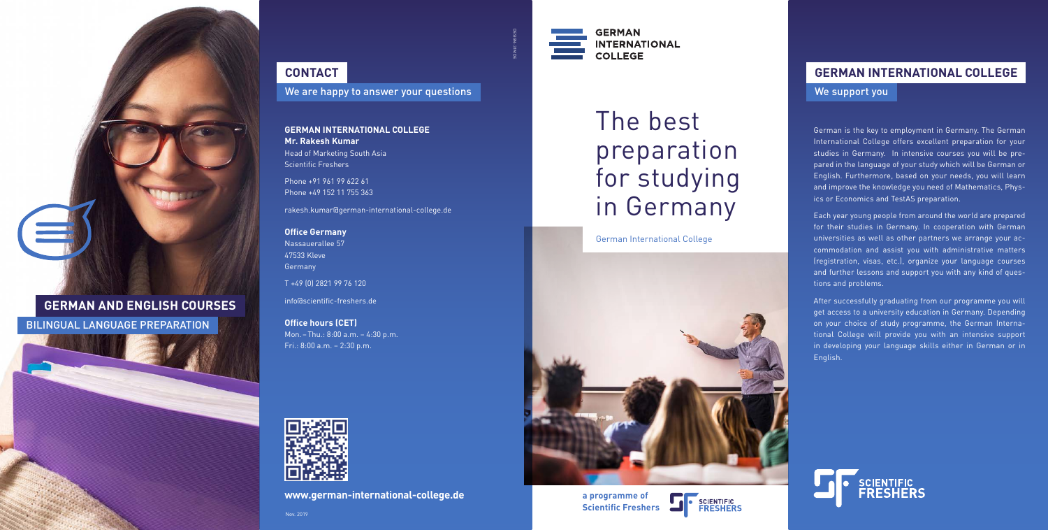**www.german-international-college.de**

# **GERMAN AND ENGLISH COURSES**

BILINGUAL LANGUAGE PREPARATION



# **CONTACT**

We are happy to answer your questions

DESIGN: 31M.DE

#### **GERMAN INTERNATIONAL COLLEGE Mr. Rakesh Kumar** Head of Marketing South Asia Scientific Freshers

Phone +91 961 99 622 61 Phone +49 152 11 755 363

rakesh.kumar@german-international-college.de

#### **Office Germany** Nassauerallee 57 47533 Kleve Germany

T +49 (0) 2821 99 76 120

info@scientific-freshers.de

**Office hours (CET)** Mon. – Thu.: 8:00 a.m. – 4:30 p.m. Fri.: 8:00 a.m. – 2:30 p.m.



# The best preparation for studying in Germany

**a programme of Scientific Freshers**



#### German International College





# **GERMAN INTERNATIONAL COLLEGE**

### We support you

Each year young people from around the world are prepared for their studies in Germany. In cooperation with German universities as well as other partners we arrange your accommodation and assist you with administrative matters (registration, visas, etc.), organize your language courses and further lessons and support you with any kind of questions and problems.

German is the key to employment in Germany. The German International College offers excellent preparation for your studies in Germany. In intensive courses you will be prepared in the language of your study which will be German or English. Furthermore, based on your needs, you will learn and improve the knowledge you need of Mathematics, Physics or Economics and TestAS preparation.

After successfully graduating from our programme you will get access to a university education in Germany. Depending on your choice of study programme, the German International College will provide you with an intensive support in developing your language skills either in German or in English.